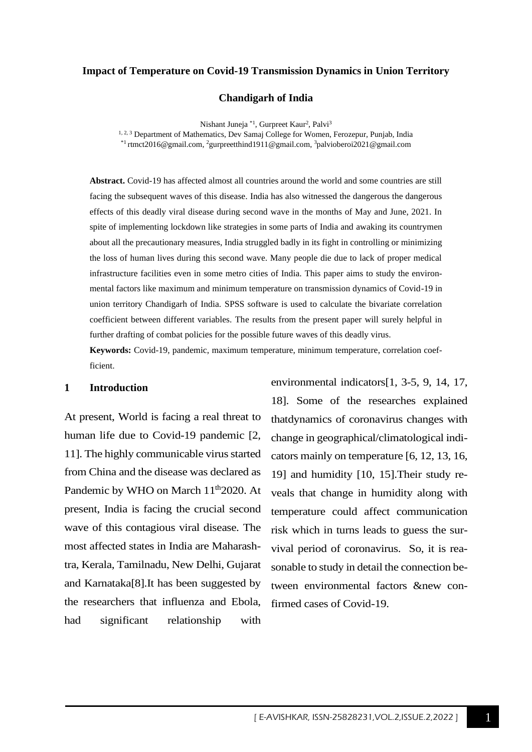### **Impact of Temperature on Covid-19 Transmission Dynamics in Union Territory**

**Chandigarh of India**

Nishant Juneja<sup>\*1</sup>, Gurpreet Kaur<sup>2</sup>, Palvi<sup>3</sup> <sup>1, 2, 3</sup> Department of Mathematics, Dev Samaj College for Women, Ferozepur, Punjab, India \*1 [rtmct2016@gmail.com,](mailto:rtmct2016@gmail.com)  <sup>2</sup>[gurpreetthind1911@gmail.com,](mailto:gurpreetthind1911@gmail.com) <sup>3</sup>palvioberoi2021@gmail.com

**Abstract.** Covid-19 has affected almost all countries around the world and some countries are still facing the subsequent waves of this disease. India has also witnessed the dangerous the dangerous effects of this deadly viral disease during second wave in the months of May and June, 2021. In spite of implementing lockdown like strategies in some parts of India and awaking its countrymen about all the precautionary measures, India struggled badly in its fight in controlling or minimizing the loss of human lives during this second wave. Many people die due to lack of proper medical infrastructure facilities even in some metro cities of India. This paper aims to study the environmental factors like maximum and minimum temperature on transmission dynamics of Covid-19 in union territory Chandigarh of India. SPSS software is used to calculate the bivariate correlation coefficient between different variables. The results from the present paper will surely helpful in further drafting of combat policies for the possible future waves of this deadly virus.

**Keywords:** Covid-19, pandemic, maximum temperature, minimum temperature, correlation coefficient.

### **1 Introduction**

At present, World is facing a real threat to human life due to Covid-19 pandemic [2, 11]. The highly communicable virus started from China and the disease was declared as Pandemic by WHO on March  $11<sup>th</sup>2020$ . At present, India is facing the crucial second wave of this contagious viral disease. The most affected states in India are Maharashtra, Kerala, Tamilnadu, New Delhi, Gujarat and Karnataka[8].It has been suggested by the researchers that influenza and Ebola, had significant relationship with

18]. Some of the researches explained thatdynamics of coronavirus changes with change in geographical/climatological indicators mainly on temperature [6, 12, 13, 16, 19] and humidity [10, 15].Their study reveals that change in humidity along with temperature could affect communication risk which in turns leads to guess the survival period of coronavirus. So, it is reasonable to study in detail the connection between environmental factors &new confirmed cases of Covid-19.

environmental indicators[1, 3-5, 9, 14, 17,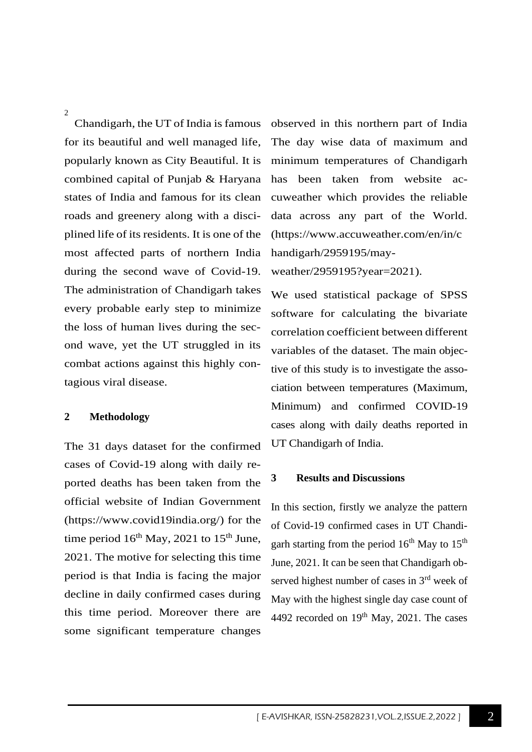$\overline{2}$ 

Chandigarh, the UT of India is famous for its beautiful and well managed life, popularly known as City Beautiful. It is combined capital of Punjab & Haryana states of India and famous for its clean roads and greenery along with a disciplined life of its residents. It is one of the most affected parts of northern India during the second wave of Covid-19. The administration of Chandigarh takes every probable early step to minimize the loss of human lives during the second wave, yet the UT struggled in its combat actions against this highly contagious viral disease.

# **2 Methodology**

The 31 days dataset for the confirmed cases of Covid-19 along with daily reported deaths has been taken from the official website of Indian Government [\(https://www.covid19india.org/\)](https://www.covid19india.org/) for the time period  $16<sup>th</sup>$  May, 2021 to  $15<sup>th</sup>$  June, 2021. The motive for selecting this time period is that India is facing the major decline in daily confirmed cases during this time period. Moreover there are some significant temperature changes

observed in this northern part of India The day wise data of maximum and minimum temperatures of Chandigarh has been taken from website accuweather which provides the reliable data across any part of the World. [\(https://www.accuweather.com/en/in/c](https://www.accuweather.com/en/in/chandigarh/2959195/may-weather/2959195?year=2021) [handigarh/2959195/may-](https://www.accuweather.com/en/in/chandigarh/2959195/may-weather/2959195?year=2021)

[weather/2959195?year=2021\)](https://www.accuweather.com/en/in/chandigarh/2959195/may-weather/2959195?year=2021).

We used statistical package of SPSS software for calculating the bivariate correlation coefficient between different variables of the dataset. The main objective of this study is to investigate the association between temperatures (Maximum, Minimum) and confirmed COVID-19 cases along with daily deaths reported in UT Chandigarh of India.

### **3 Results and Discussions**

In this section, firstly we analyze the pattern of Covid-19 confirmed cases in UT Chandigarh starting from the period  $16<sup>th</sup>$  May to  $15<sup>th</sup>$ June, 2021. It can be seen that Chandigarh observed highest number of cases in  $3<sup>rd</sup>$  week of May with the highest single day case count of 4492 recorded on  $19<sup>th</sup>$  May, 2021. The cases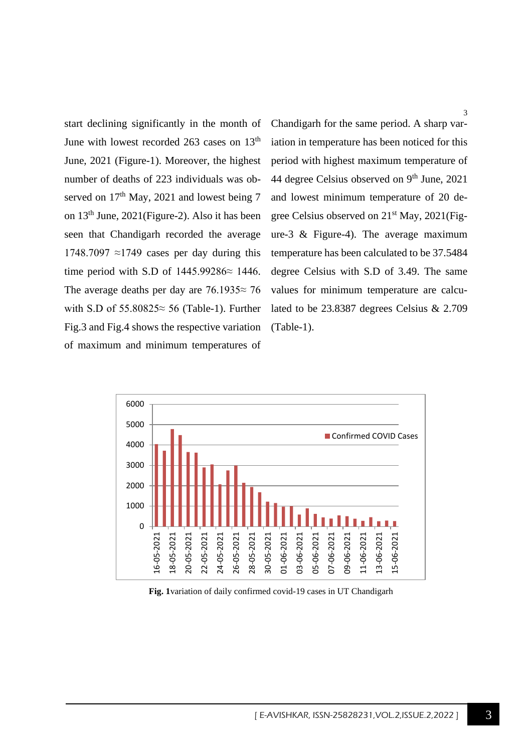start declining significantly in the month of June with lowest recorded 263 cases on 13<sup>th</sup> June, 2021 (Figure-1). Moreover, the highest number of deaths of 223 individuals was observed on  $17<sup>th</sup>$  May, 2021 and lowest being 7 on 13th June, 2021(Figure-2). Also it has been seen that Chandigarh recorded the average 1748.7097  $\approx$ 1749 cases per day during this time period with S.D of 1445.99286≈ 1446. The average deaths per day are 76.1935≈ 76 with S.D of 55.80825≈ 56 (Table-1). Further Fig.3 and Fig.4 shows the respective variation of maximum and minimum temperatures of Chandigarh for the same period. A sharp variation in temperature has been noticed for this period with highest maximum temperature of 44 degree Celsius observed on  $9<sup>th</sup>$  June, 2021 and lowest minimum temperature of 20 degree Celsius observed on 21st May, 2021(Figure-3 & Figure-4). The average maximum temperature has been calculated to be 37.5484 degree Celsius with S.D of 3.49. The same values for minimum temperature are calculated to be 23.8387 degrees Celsius & 2.709 (Table-1).



**Fig. 1**variation of daily confirmed covid-19 cases in UT Chandigarh

[ E-AVISHKAR, ISSN-25828231, VOL.2, ISSUE.2, 2022 ]

3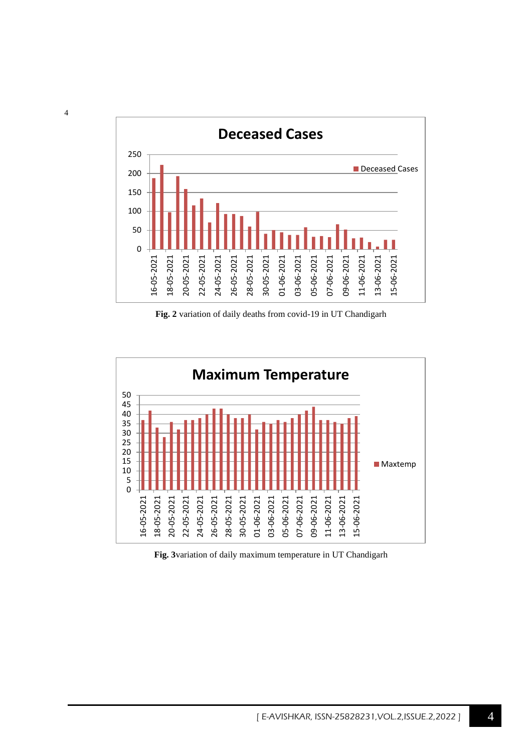

**Fig. 2** variation of daily deaths from covid-19 in UT Chandigarh



**Fig. 3**variation of daily maximum temperature in UT Chandigarh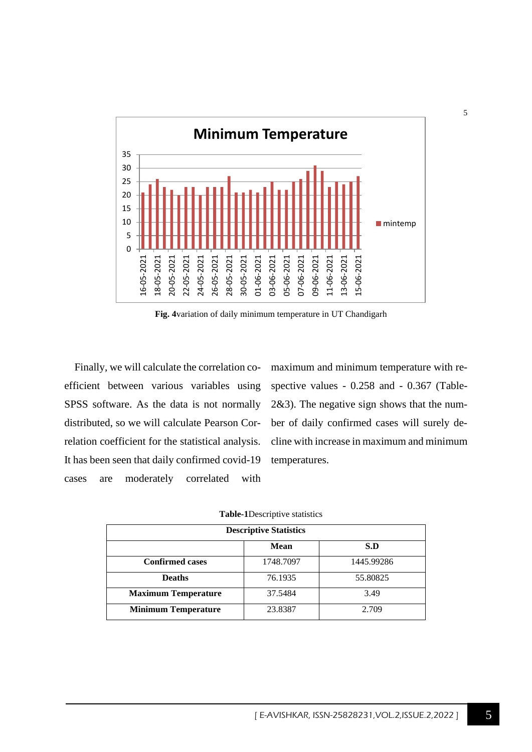

**Fig. 4**variation of daily minimum temperature in UT Chandigarh

Finally, we will calculate the correlation coefficient between various variables using SPSS software. As the data is not normally distributed, so we will calculate Pearson Correlation coefficient for the statistical analysis. It has been seen that daily confirmed covid-19 cases are moderately correlated with

maximum and minimum temperature with respective values - 0.258 and - 0.367 (Table-2&3). The negative sign shows that the number of daily confirmed cases will surely decline with increase in maximum and minimum temperatures.

| <b>Descriptive Statistics</b> |           |            |  |  |  |  |  |
|-------------------------------|-----------|------------|--|--|--|--|--|
| S.D<br><b>Mean</b>            |           |            |  |  |  |  |  |
| <b>Confirmed cases</b>        | 1748.7097 | 1445.99286 |  |  |  |  |  |
| <b>Deaths</b>                 | 76.1935   | 55.80825   |  |  |  |  |  |
| <b>Maximum Temperature</b>    | 37.5484   | 3.49       |  |  |  |  |  |
| <b>Minimum Temperature</b>    | 23.8387   | 2.709      |  |  |  |  |  |

|  | Table-1Descriptive statistics |
|--|-------------------------------|
|  |                               |

5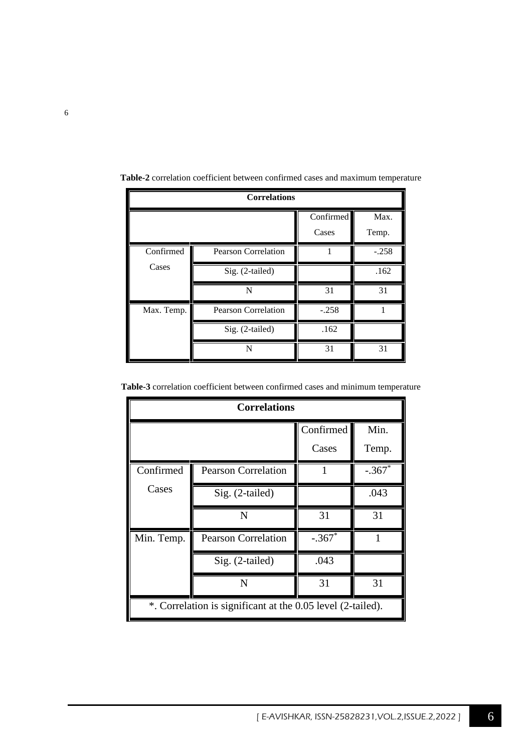| <b>Correlations</b> |                            |                    |               |  |
|---------------------|----------------------------|--------------------|---------------|--|
|                     |                            | Confirmed<br>Cases | Max.<br>Temp. |  |
| Confirmed           | <b>Pearson Correlation</b> | 1                  | $-.258$       |  |
| Cases               | Sig. (2-tailed)            |                    | .162          |  |
|                     | N                          | 31                 | 31            |  |
| Max. Temp.          | <b>Pearson Correlation</b> | $-.258$            |               |  |
|                     | Sig. (2-tailed)            | .162               |               |  |
|                     | N                          | 31                 | 31            |  |

**Table-2** correlation coefficient between confirmed cases and maximum temperature

| <b>Table-3</b> correlation coefficient between confirmed cases and minimum temperature |  |  |  |  |
|----------------------------------------------------------------------------------------|--|--|--|--|
|                                                                                        |  |  |  |  |

| <b>Correlations</b>                                         |                            |          |          |  |
|-------------------------------------------------------------|----------------------------|----------|----------|--|
| Confirmed                                                   |                            |          |          |  |
|                                                             |                            | Cases    | Temp.    |  |
| Confirmed                                                   | <b>Pearson Correlation</b> |          | $-.367*$ |  |
| Cases                                                       | Sig. (2-tailed)            |          | .043     |  |
|                                                             | N                          | 31       | 31       |  |
| Min. Temp.                                                  | <b>Pearson Correlation</b> | $-.367*$ |          |  |
|                                                             | Sig. (2-tailed)            | .043     |          |  |
|                                                             | N                          | 31       | 31       |  |
| *. Correlation is significant at the 0.05 level (2-tailed). |                            |          |          |  |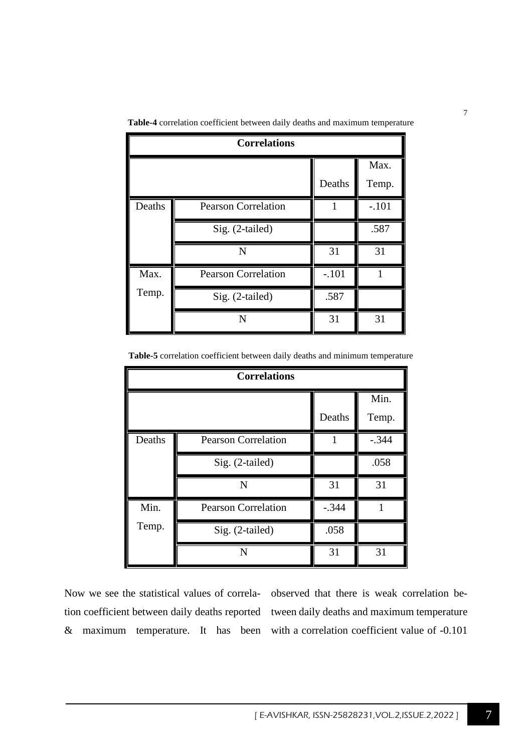| <b>Correlations</b> |                            |         |               |  |
|---------------------|----------------------------|---------|---------------|--|
|                     |                            | Deaths  | Max.<br>Temp. |  |
| Deaths              | <b>Pearson Correlation</b> | 1       | $-.101$       |  |
|                     | Sig. (2-tailed)            |         | .587          |  |
|                     | N                          | 31      | 31            |  |
| Max.                | <b>Pearson Correlation</b> | $-.101$ |               |  |
| Temp.               | Sig. (2-tailed)            | .587    |               |  |
|                     | N                          | 31      | 31            |  |

**Table-4** correlation coefficient between daily deaths and maximum temperature

**Table-5** correlation coefficient between daily deaths and minimum temperature

| <b>Correlations</b> |                            |         |         |  |
|---------------------|----------------------------|---------|---------|--|
|                     |                            |         | Min.    |  |
|                     |                            | Deaths  | Temp.   |  |
| Deaths              | <b>Pearson Correlation</b> | 1       | $-.344$ |  |
|                     | Sig. (2-tailed)            |         | .058    |  |
|                     | N                          | 31      | 31      |  |
| Min.                | <b>Pearson Correlation</b> | $-.344$ | 1       |  |
| Temp.               | Sig. (2-tailed)            | .058    |         |  |
|                     | N                          | 31      | 31      |  |

Now we see the statistical values of correla-observed that there is weak correlation betion coefficient between daily deaths reported tween daily deaths and maximum temperature & maximum temperature. It has been with a correlation coefficient value of -0.101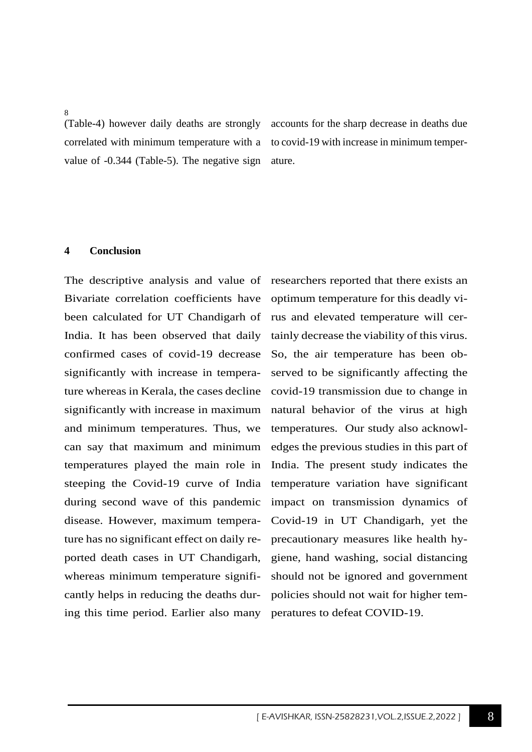8

(Table-4) however daily deaths are strongly correlated with minimum temperature with a value of -0.344 (Table-5). The negative sign

accounts for the sharp decrease in deaths due to covid-19 with increase in minimum temperature.

# **4 Conclusion**

The descriptive analysis and value of Bivariate correlation coefficients have been calculated for UT Chandigarh of India. It has been observed that daily confirmed cases of covid-19 decrease significantly with increase in temperature whereas in Kerala, the cases decline significantly with increase in maximum and minimum temperatures. Thus, we can say that maximum and minimum temperatures played the main role in steeping the Covid-19 curve of India during second wave of this pandemic disease. However, maximum temperature has no significant effect on daily reported death cases in UT Chandigarh, whereas minimum temperature significantly helps in reducing the deaths during this time period. Earlier also many

researchers reported that there exists an optimum temperature for this deadly virus and elevated temperature will certainly decrease the viability of this virus. So, the air temperature has been observed to be significantly affecting the covid-19 transmission due to change in natural behavior of the virus at high temperatures. Our study also acknowledges the previous studies in this part of India. The present study indicates the temperature variation have significant impact on transmission dynamics of Covid-19 in UT Chandigarh, yet the precautionary measures like health hygiene, hand washing, social distancing should not be ignored and government policies should not wait for higher temperatures to defeat COVID-19.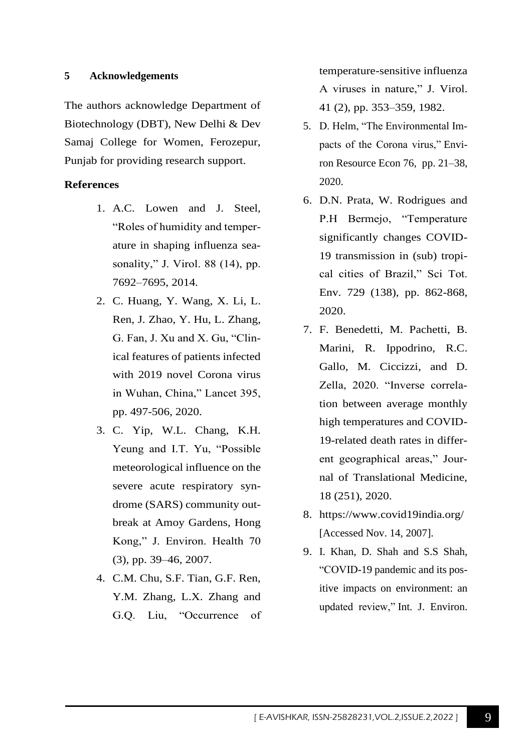# **5 Acknowledgements**

The authors acknowledge Department of Biotechnology (DBT), New Delhi & Dev Samaj College for Women, Ferozepur, Punjab for providing research support.

# **References**

- 1. A.C. Lowen and J. Steel, "Roles of humidity and temperature in shaping influenza seasonality," J. Virol. 88 (14), pp. 7692–7695, 2014.
- 2. C. Huang, Y. Wang, X. Li, L. Ren, J. Zhao, Y. Hu, L. Zhang, G. Fan, J. Xu and X. Gu, "Clinical features of patients infected with 2019 novel Corona virus in Wuhan, China," Lancet 395, pp. 497-506, 2020.
- 3. C. Yip, W.L. Chang, K.H. Yeung and I.T. Yu, "Possible meteorological influence on the severe acute respiratory syndrome (SARS) community outbreak at Amoy Gardens, Hong Kong," J. Environ. Health 70 (3), pp. 39–46, 2007.
- 4. C.M. Chu, S.F. Tian, G.F. Ren, Y.M. Zhang, L.X. Zhang and G.Q. Liu, "Occurrence of

temperature-sensitive influenza A viruses in nature," J. Virol. 41 (2), pp. 353–359, 1982.

- 5. D. Helm, "The Environmental Impacts of the Corona virus," Environ Resource Econ 76, pp. 21–38, 2020.
- 6. D.N. Prata, W. Rodrigues and P.H Bermejo, "Temperature significantly changes COVID-19 transmission in (sub) tropical cities of Brazil," Sci Tot. Env. 729 (138), pp. 862-868, 2020.
- 7. F. Benedetti, M. Pachetti, B. Marini, R. Ippodrino, R.C. Gallo, M. Ciccizzi, and D. Zella, 2020. "Inverse correlation between average monthly high temperatures and COVID-19-related death rates in different geographical areas," Journal of Translational Medicine, 18 (251), 2020.
- 8. <https://www.covid19india.org/> [Accessed Nov. 14, 2007].
- 9. I. Khan, D. Shah and S.S Shah, "COVID-19 pandemic and its positive impacts on environment: an updated review," Int. J. Environ.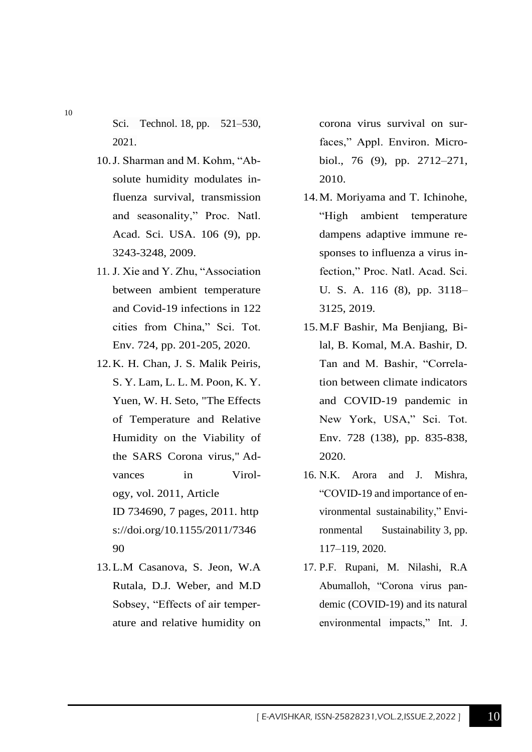Sci. Technol. 18, pp. 521–530, 2021.

- 10.J. Sharman and M. Kohm, "Absolute humidity modulates influenza survival, transmission and seasonality," Proc. Natl. Acad. Sci. USA. 106 (9), pp. 3243-3248, 2009.
- 11. J. Xie and Y. Zhu, "Association between ambient temperature and Covid-19 infections in 122 cities from China," Sci. Tot. Env. 724, pp. 201-205, 2020.
- 12.K. H. Chan, J. S. Malik Peiris, S. Y. Lam, L. L. M. Poon, K. Y. Yuen, W. H. Seto, "The Effects of Temperature and Relative Humidity on the Viability of the SARS Corona virus," Advances in Virology, vol. 2011, Article ID 734690, 7 pages, 2011. [http](https://doi.org/10.1155/2011/734690) [s://doi.org/10.1155/2011/7346](https://doi.org/10.1155/2011/734690) [90](https://doi.org/10.1155/2011/734690)
- 13.L.M Casanova, S. Jeon, W.A Rutala, D.J. Weber, and M.D Sobsey, "Effects of air temperature and relative humidity on

corona virus survival on surfaces," Appl. Environ. Microbiol., 76 (9), pp. 2712–271, 2010.

- 14.M. Moriyama and T. Ichinohe, "High ambient temperature dampens adaptive immune responses to influenza a virus infection," Proc. Natl. Acad. Sci. U. S. A. 116 (8), pp. 3118– 3125, 2019.
- 15.M.F Bashir, Ma Benjiang, Bilal, B. Komal, M.A. Bashir, D. Tan and M. Bashir, "Correlation between climate indicators and COVID-19 pandemic in New York, USA," Sci. Tot. Env. 728 (138), pp. 835-838, 2020.
- 16. N.K. Arora and J. Mishra, "COVID-19 and importance of environmental sustainability," Environmental Sustainability 3, pp. 117–119, 2020.
- 17. P.F. Rupani, M. Nilashi, R.A Abumalloh, "Corona virus pandemic (COVID-19) and its natural environmental impacts," Int. J.